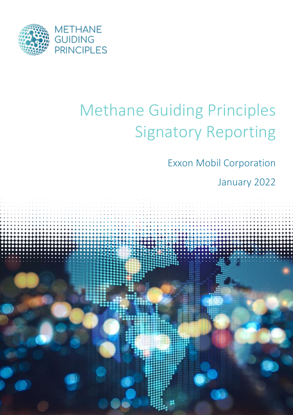

# Methane Guiding Principles Signatory Reporting

Exxon Mobil Corporation

January 2022

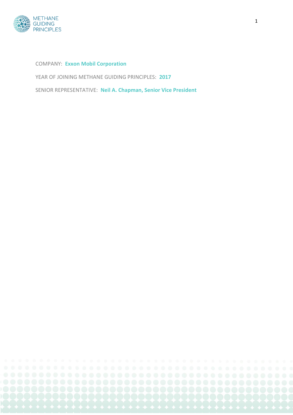

COMPANY: **Exxon Mobil Corporation**

YEAR OF JOINING METHANE GUIDING PRINCIPLES: **2017**

SENIOR REPRESENTATIVE: **Neil A. Chapman, Senior Vice President**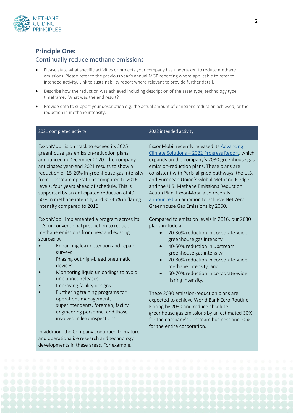

#### **Principle One:**

#### Continually reduce methane emissions

developments in these areas. For example,

- Please state what specific activities or projects your company has undertaken to reduce methane emissions. Please refer to the previous year's annual MGP reporting where applicable to refer to intended activity. Link to sustainability report where relevant to provide further detail.
- Describe how the reduction was achieved including description of the asset type, technology type, timeframe. What was the end result?
- Provide data to support your description e.g. the actual amount of emissions reduction achieved, or the reduction in methane intensity.

| 2021 completed activity                                                                                                                                                                                                                                                                                                                                                                                                                                                                                                                                     | 2022 intended activity                                                                                                                                                                                                                                                                                                                                                                                                                                                                                                                   |
|-------------------------------------------------------------------------------------------------------------------------------------------------------------------------------------------------------------------------------------------------------------------------------------------------------------------------------------------------------------------------------------------------------------------------------------------------------------------------------------------------------------------------------------------------------------|------------------------------------------------------------------------------------------------------------------------------------------------------------------------------------------------------------------------------------------------------------------------------------------------------------------------------------------------------------------------------------------------------------------------------------------------------------------------------------------------------------------------------------------|
| ExxonMobil is on track to exceed its 2025<br>greenhouse gas emission-reduction plans<br>announced in December 2020. The company<br>anticipates year-end 2021 results to show a<br>reduction of 15-20% in greenhouse gas intensity<br>from Upstream operations compared to 2016<br>levels, four years ahead of schedule. This is<br>supported by an anticipated reduction of 40-<br>50% in methane intensity and 35-45% in flaring<br>intensity compared to 2016.<br>ExxonMobil implemented a program across its<br>U.S. unconventional production to reduce | ExxonMobil recently released its Advancing<br>Climate Solutions - 2022 Progress Report, which<br>expands on the company's 2030 greenhouse gas<br>emission-reduction plans. These plans are<br>consistent with Paris-aligned pathways, the U.S.<br>and European Union's Global Methane Pledge<br>and the U.S. Methane Emissions Reduction<br>Action Plan. ExxonMobil also recently<br>announced an ambition to achieve Net Zero<br>Greenhouse Gas Emissions by 2050.<br>Compared to emission levels in 2016, our 2030<br>plans include a: |
| methane emissions from new and existing<br>sources by:<br>Enhancing leak detection and repair<br>surveys<br>Phasing out high-bleed pneumatic<br>devices<br>Monitoring liquid unloadings to avoid<br>unplanned releases<br>Improving facility designs                                                                                                                                                                                                                                                                                                        | 20-30% reduction in corporate-wide<br>greenhouse gas intensity,<br>40-50% reduction in upstream<br>$\bullet$<br>greenhouse gas intensity,<br>70-80% reduction in corporate-wide<br>$\bullet$<br>methane intensity, and<br>60-70% reduction in corporate-wide<br>$\bullet$<br>flaring intensity.                                                                                                                                                                                                                                          |
| Furthering training programs for<br>operations management,<br>superintendents, foremen, facilty<br>engineering personnel and those<br>involved in leak inspections<br>In addition, the Company continued to mature                                                                                                                                                                                                                                                                                                                                          | These 2030 emission-reduction plans are<br>expected to achieve World Bank Zero Routine<br>Flaring by 2030 and reduce absolute<br>greenhouse gas emissions by an estimated 30%<br>for the company's upstream business and 20%<br>for the entire corporation.                                                                                                                                                                                                                                                                              |
| and operationalize research and technology                                                                                                                                                                                                                                                                                                                                                                                                                                                                                                                  |                                                                                                                                                                                                                                                                                                                                                                                                                                                                                                                                          |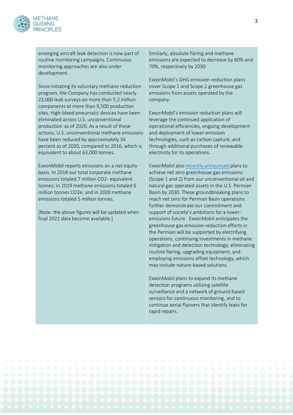

emerging aircraft leak detection is now part of routine monitoring campaigns. Continuous monitoring approaches are also under development.

Since initiating its voluntary methane reduction program, the Company has conducted nearly 23,000 leak surveys on more than 5.2 million components at more than 9,500 production sites. High-bleed pneumatic devices have been eliminated across U.S. unconventional production as of 2020. As a result of these actions, U.S. unconventional methane emissions have been reduced by approximately 34 percent as of 2020, compared to 2016, which is equivalent to about 63,000 tonnes.

ExxonMobil reports emissions on a net equity basis. In 2018 our total corporate methane emissions totaled 7 million CO2- equivalent tonnes; in 2019 methane emissions totaled 6 million tonnes CO2e; and in 2020 methane emissions totaled 5 million tonnes.

[Note: the above figures will be updated when final 2021 data become available.]

Similarly, absolute flaring and methane emissions are expected to decrease by 60% and 70%, respectively by 2030.

ExxonMobil's GHG emission-reduction plans cover Scope 1 and Scope 2 greenhouse gas emissions from assets operated by the company.

ExxonMobil's emission reduction plans will leverage the continued application of operational efficiencies, ongoing development and deployment of lower-emission technologies, such as carbon capture, and through additional purchases of renewable electricity for its operations.

ExxonMobil als[o recently announced](https://corporate.exxonmobil.com/News/Newsroom/News-releases/2021/1206_ExxonMobil-plans-for-net-zero-emissions-in-Permian-Basin-operations-by-2030) plans to achieve net zero greenhouse gas emissions (Scope 1 and 2) from our unconventional oil and natural gas operated assets in the U.S. Permian Basin by 2030. These groundbreaking plans to reach net zero for Permian Basin operations further demonstrate our commitment and support of society's ambitions for a loweremissions future. ExxonMobil anticipates the greenhouse gas emission-reduction efforts in the Permian will be supported by electrifying operations, continuing investments in methane mitigation and detection technology, eliminating routine flaring, upgrading equipment, and employing emissions offset technology, which may include nature-based solutions.

ExxonMobil plans to expand its methane detection programs utilizing satellite surveillance and a network of ground-based sensors for continuous monitoring, and to continue aerial flyovers that identify leaks for rapid repairs.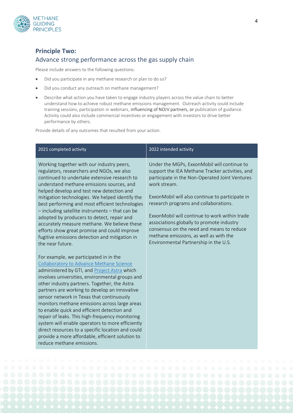

## **Principle Two:**  Advance strong performance across the gas supply chain

Please include answers to the following questions:

- Did you participate in any methane research or plan to do so?
- Did you conduct any outreach on methane management?
- Describe what action you have taken to engage industry players across the value chain to better understand how to achieve robust methane emissions management. Outreach activity could include training sessions, participation in webinars, influencing of NOJV partners, or publication of guidance. Activity could also include commercial incentives or engagement with investors to drive better performance by others.

Provide details of any outcomes that resulted from your action.

| 2021 completed activity                                                                                                                                                                                                                                                                                                                                                                                                                                                                                                                                                                                                                                                          | 2022 intended activity                                                                                                                                                                                                                                                                                                                                                                                                                                                                     |
|----------------------------------------------------------------------------------------------------------------------------------------------------------------------------------------------------------------------------------------------------------------------------------------------------------------------------------------------------------------------------------------------------------------------------------------------------------------------------------------------------------------------------------------------------------------------------------------------------------------------------------------------------------------------------------|--------------------------------------------------------------------------------------------------------------------------------------------------------------------------------------------------------------------------------------------------------------------------------------------------------------------------------------------------------------------------------------------------------------------------------------------------------------------------------------------|
| Working together with our industry peers,<br>regulators, researchers and NGOs, we also<br>continued to undertake extensive research to<br>understand methane emissions sources, and<br>helped develop and test new detection and<br>mitigation technologies. We helped identify the<br>best performing and most efficient technologies<br>- including satellite instruments - that can be<br>adopted by producers to detect, repair and<br>accurately measure methane. We believe these<br>efforts show great promise and could improve<br>fugitive emissions detection and mitigation in<br>the near future.                                                                    | Under the MGPs, ExxonMobil will continue to<br>support the IEA Methane Tracker activities, and<br>participate in the Non-Operated Joint Ventures<br>work stream.<br>ExxonMobil will also continue to participate in<br>research programs and collaborations.<br>ExxonMobil will continue to work within trade<br>associations globally to promote industry<br>consensus on the need and means to reduce<br>methane emissions, as well as with the<br>Environmental Partnership in the U.S. |
| For example, we participated in in the<br>Collaboratory to Advance Methane Science<br>administered by GTI, and Project Astra which<br>involves universities, environmental groups and<br>other industry partners. Together, the Astra<br>partners are working to develop an innovative<br>sensor network in Texas that continuously<br>monitors methane emissions across large areas<br>to enable quick and efficient detection and<br>repair of leaks. This high-frequency monitoring<br>system will enable operators to more efficiently<br>direct resources to a specific location and could<br>provide a more affordable, efficient solution to<br>reduce methane emissions. |                                                                                                                                                                                                                                                                                                                                                                                                                                                                                            |

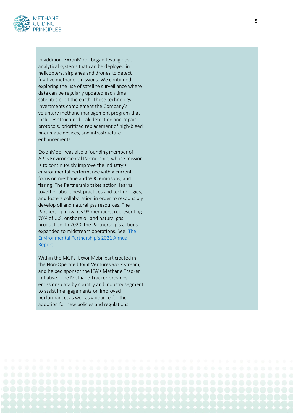

In addition, ExxonMobil began testing novel analytical systems that can be deployed in helicopters, airplanes and drones to detect fugitive methane emissions. We continued exploring the use of satellite surveillance where data can be regularly updated each time satellites orbit the earth. These technology investments complement the Company's voluntary methane management program that includes structured leak detection and repair protocols, prioritized replacement of high -bleed pneumatic devices, and infrastructure enhancements.

ExxonMobil was also a founding member of API's Environmental Partnership, whose mission is to continuously improve the industry's environmental performance with a current focus on methane and VOC emisisons, and flaring. The Partnership takes action, learns together about best practices and technologies, and fosters collaboration in order to responsibly develop oil and natural gas resources. The Partnership now has 93 members, representing 70% of U.S. onshore oil and natural gas production. In 2020, the Partnership's actions expanded to midstream operations. See: [The](https://theenvironmentalpartnership.org/annual-reports/2021-annual-report/)  [Environmental Partnership's 2021 Annual](https://theenvironmentalpartnership.org/annual-reports/2021-annual-report/)  [Report.](https://theenvironmentalpartnership.org/annual-reports/2021-annual-report/)

Within the MGPs, ExxonMobil participated in the Non -Operated Joint Ventures work stream, and helped sponsor the IEA's Methane Tracker initiative. The Methane Tracker provides emissions data by country and industry segment to assist in engagements on improved performance, as well as guidance for the adoption for new policies and regulations.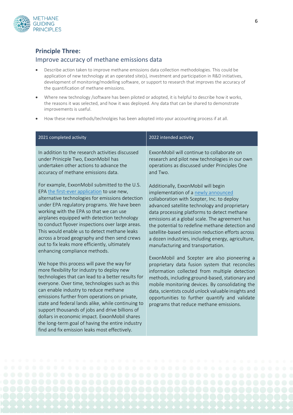

#### **Principle Three:**

#### Improve accuracy of methane emissions data

- Describe action taken to improve methane emissions data collection methodologies. This could be application of new technology at an operated site(s), investment and participation in R&D initiatives, development of monitoring/modelling software, or support to research that improves the accuracy of the quantification of methane emissions.
- Where new technology /software has been piloted or adopted, it is helpful to describe how it works, the reasons it was selected, and how it was deployed. Any data that can be shared to demonstrate improvements is useful.
- How these new methods/technolgies has been adopted into your accounting process if at all.

| 2021 completed activity                                                                                                                                                                                                                                                                                                                                                                                                                                                                                                                                    | 2022 intended activity                                                                                                                                                                                                                                                                                                                                                                                                                                                        |
|------------------------------------------------------------------------------------------------------------------------------------------------------------------------------------------------------------------------------------------------------------------------------------------------------------------------------------------------------------------------------------------------------------------------------------------------------------------------------------------------------------------------------------------------------------|-------------------------------------------------------------------------------------------------------------------------------------------------------------------------------------------------------------------------------------------------------------------------------------------------------------------------------------------------------------------------------------------------------------------------------------------------------------------------------|
| In addition to the research activities discussed<br>under Prinicple Two, ExxonMobil has<br>undertaken other actions to advance the<br>accuracy of methane emissions data.                                                                                                                                                                                                                                                                                                                                                                                  | ExxonMobil will continue to collaborate on<br>research and pilot new technologies in our own<br>operations as discussed under Principles One<br>and Two.                                                                                                                                                                                                                                                                                                                      |
| For example, ExxonMobil submitted to the U.S.<br>EPA the first-ever application to use new,<br>alternative technologies for emissions detection<br>under EPA regulatory programs. We have been<br>working with the EPA so that we can use<br>airplanes equipped with detection technology<br>to conduct flyover inspections over large areas.<br>This would enable us to detect methane leaks<br>across a broad geography and then send crews<br>out to fix leaks more efficiently, ultimately<br>enhancing compliance methods.                            | Additionally, ExxonMobil will begin<br>implementation of a newly announced<br>collaboration with Scepter, Inc. to deploy<br>advanced satellite technology and proprietary<br>data processing platforms to detect methane<br>emissions at a global scale. The agreement has<br>the potential to redefine methane detection and<br>satellite-based emission reduction efforts across<br>a dozen industries, including energy, agriculture,<br>manufacturing and transportation. |
| We hope this process will pave the way for<br>more flexibility for industry to deploy new<br>technologies that can lead to a better results for<br>everyone. Over time, technologies such as this<br>can enable industry to reduce methane<br>emissions further from operations on private,<br>state and federal lands alike, while continuing to<br>support thousands of jobs and drive billions of<br>dollars in economic impact. ExxonMobil shares<br>the long-term goal of having the entire industry<br>find and fix emission leaks most effectively. | ExxonMobil and Scepter are also pioneering a<br>proprietary data fusion system that reconciles<br>information collected from multiple detection<br>methods, including ground-based, stationary and<br>mobile monitoring devices. By consolidating the<br>data, scientists could unlock valuable insights and<br>opportunities to further quantify and validate<br>programs that reduce methane emissions.                                                                     |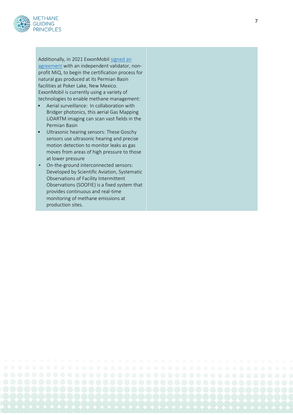

Additionally, in 2021 ExxonMobil [signed an](https://corporate.exxonmobil.com/News/Newsroom/News-releases/2021/0907_ExxonMobil-to-certify-natural-gas-help-customers-meet-environmental-goals)  [agreement](https://corporate.exxonmobil.com/News/Newsroom/News-releases/2021/0907_ExxonMobil-to-certify-natural-gas-help-customers-meet-environmental-goals) with an independent validator, nonprofit MiQ, to begin the certification process for natural gas produced at its Permian Basin facilities at Poker Lake, New Mexico. ExxonMobil is currently using a variety of technologies to enable methane management:

- Aerial surveillance: In collaboration with Bridger photonics, this aerial Gas Mapping LiDARTM imaging can scan vast fields in the Permian Basin
- Ultrasonic hearing sensors: These Goschy sensors use ultrasonic hearing and precise motion detection to monitor leaks as gas moves from areas of high pressure to those at lower pressure
- On-the-ground interconnected sensors: Developed by Scientific Aviation, Systematic Observations of Facility Intermittent Observations (SOOFIE) is a fixed system that provides continuous and real -time monitoring of methane emissions at production sites.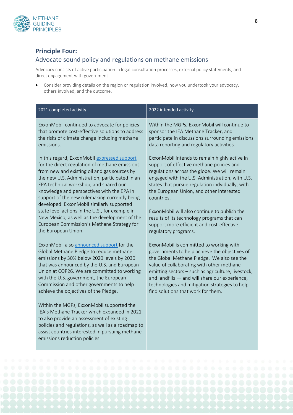

#### **Principle Four:**

#### Advocate sound policy and regulations on methane emissions

Advocacy consists of active participation in legal consultation processes, external policy statements, and direct engagement with government

• Consider providing details on the region or regulation involved, how you undertook your advocacy, others involved, and the outcome.

| 2021 completed activity                                                                                                                                                                                                                                                                                                                                                                                                                                                                     | 2022 intended activity                                                                                                                                                                                                                                                                                                                                                                                    |
|---------------------------------------------------------------------------------------------------------------------------------------------------------------------------------------------------------------------------------------------------------------------------------------------------------------------------------------------------------------------------------------------------------------------------------------------------------------------------------------------|-----------------------------------------------------------------------------------------------------------------------------------------------------------------------------------------------------------------------------------------------------------------------------------------------------------------------------------------------------------------------------------------------------------|
| ExxonMobil continued to advocate for policies                                                                                                                                                                                                                                                                                                                                                                                                                                               | Within the MGPs, ExxonMobil will continue to                                                                                                                                                                                                                                                                                                                                                              |
| that promote cost-effective solutions to address                                                                                                                                                                                                                                                                                                                                                                                                                                            | sponsor the IEA Methane Tracker, and                                                                                                                                                                                                                                                                                                                                                                      |
| the risks of climate change including methane                                                                                                                                                                                                                                                                                                                                                                                                                                               | participate in discussions surrounding emissions                                                                                                                                                                                                                                                                                                                                                          |
| emissions.                                                                                                                                                                                                                                                                                                                                                                                                                                                                                  | data reporting and regulatory activities.                                                                                                                                                                                                                                                                                                                                                                 |
| In this regard, ExxonMobil expressed support<br>for the direct regulation of methane emissions<br>from new and existing oil and gas sources by<br>the new U.S. Administration, participated in an<br>EPA technical workshop, and shared our<br>knowledge and perspectives with the EPA in<br>support of the new rulemaking currently being<br>developed. ExxonMobil similarly supported<br>state level actions in the U.S., for example in<br>New Mexico, as well as the development of the | ExxonMobil intends to remain highly active in<br>support of effective methane policies and<br>regulations across the globe. We will remain<br>engaged with the U.S. Administration, with U.S.<br>states that pursue regulation indvidually, with<br>the European Union, and other interested<br>countries.<br>ExxonMobil will also continue to publish the<br>results of its technology programs that can |
| European Commission's Methane Strategy for                                                                                                                                                                                                                                                                                                                                                                                                                                                  | support more efficient and cost-effective                                                                                                                                                                                                                                                                                                                                                                 |
| the European Union.                                                                                                                                                                                                                                                                                                                                                                                                                                                                         | regulatory programs.                                                                                                                                                                                                                                                                                                                                                                                      |
| ExxonMobil also announced support for the                                                                                                                                                                                                                                                                                                                                                                                                                                                   | ExxonMobil is committed to working with                                                                                                                                                                                                                                                                                                                                                                   |
| Global Methane Pledge to reduce methane                                                                                                                                                                                                                                                                                                                                                                                                                                                     | governments to help achieve the objectives of                                                                                                                                                                                                                                                                                                                                                             |
| emissions by 30% below 2020 levels by 2030                                                                                                                                                                                                                                                                                                                                                                                                                                                  | the Global Methane Pledge. We also see the                                                                                                                                                                                                                                                                                                                                                                |
| that was announced by the U.S. and European                                                                                                                                                                                                                                                                                                                                                                                                                                                 | value of collaborating with other methane-                                                                                                                                                                                                                                                                                                                                                                |
| Union at COP26. We are committed to working                                                                                                                                                                                                                                                                                                                                                                                                                                                 | emitting sectors - such as agriculture, livestock,                                                                                                                                                                                                                                                                                                                                                        |
| with the U.S. government, the European                                                                                                                                                                                                                                                                                                                                                                                                                                                      | and landfills - and will share our experience,                                                                                                                                                                                                                                                                                                                                                            |
| Commission and other governments to help                                                                                                                                                                                                                                                                                                                                                                                                                                                    | technologies and mitigation strategies to help                                                                                                                                                                                                                                                                                                                                                            |
| achieve the objectives of the Pledge.                                                                                                                                                                                                                                                                                                                                                                                                                                                       | find solutions that work for them.                                                                                                                                                                                                                                                                                                                                                                        |
| Within the MGPs, ExxonMobil supported the<br>IEA's Methane Tracker which expanded in 2021<br>to also provide an assessment of existing<br>policies and regulations, as well as a roadmap to<br>assist countries interested in pursuing methane<br>emissions reduction policies.                                                                                                                                                                                                             |                                                                                                                                                                                                                                                                                                                                                                                                           |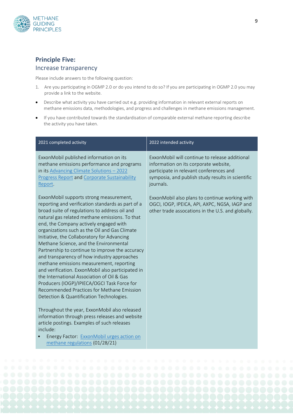### **Principle Five:**  Increase transparency

Please include answers to the following question:

- 1. Are you participating in OGMP 2.0 or do you intend to do so? If you are participating in OGMP 2.0 you may provide a link to the website.
- Describe what activity you have carried out e.g. providing information in relevant external reports on methane emissions data, methodologies, and progress and challenges in methane emissions management.
- If you have contributed towards the standardisation of comparable external methane reporting describe the activity you have taken.

| 2021 completed activity                                                                                                                                                                                                                                                                                                                                                                                                                                                                                                                                                                                                                                                                                                                                                       | 2022 intended activity                                                                                                                                                                               |
|-------------------------------------------------------------------------------------------------------------------------------------------------------------------------------------------------------------------------------------------------------------------------------------------------------------------------------------------------------------------------------------------------------------------------------------------------------------------------------------------------------------------------------------------------------------------------------------------------------------------------------------------------------------------------------------------------------------------------------------------------------------------------------|------------------------------------------------------------------------------------------------------------------------------------------------------------------------------------------------------|
| ExxonMobil published information on its<br>methane emissions performance and programs<br>in its Advancing Climate Solutions - 2022<br>Progress Report and Corporate Sustainability<br>Report.                                                                                                                                                                                                                                                                                                                                                                                                                                                                                                                                                                                 | ExxonMobil will continue to release additional<br>information on its corporate website,<br>participate in relevant conferences and<br>symposia, and publish study results in scientific<br>journals. |
| ExxonMobil supports strong measurement,<br>reporting and verification standards as part of a<br>broad suite of regulations to address oil and<br>natural gas related methane emissions. To that<br>end, the Company actively engaged with<br>organizations such as the Oil and Gas Climate<br>Initiative, the Collaboratory for Advancing<br>Methane Science, and the Environmental<br>Partnership to continue to improve the accuracy<br>and transparency of how industry approaches<br>methane emissions measurement, reporting<br>and verification. ExxonMobil also participated in<br>the International Association of Oil & Gas<br>Producers (IOGP)/IPIECA/OGCI Task Force for<br>Recommended Practices for Methane Emission<br>Detection & Quantification Technologies. | ExxonMobil also plans to continue working with<br>OGCI, IOGP, IPEICA, API, AXPC, NGSA, IAGP and<br>other trade assocations in the U.S. and globally.                                                 |
| Throughout the year, ExxonMobil also released<br>information through press releases and website<br>article postings. Examples of such releases<br>include:                                                                                                                                                                                                                                                                                                                                                                                                                                                                                                                                                                                                                    |                                                                                                                                                                                                      |
| Energy Factor: ExxonMobil urges action on<br>methane regulations (01/28/21)                                                                                                                                                                                                                                                                                                                                                                                                                                                                                                                                                                                                                                                                                                   |                                                                                                                                                                                                      |



9

#### **METHANE GUIDING PRINCIPLES**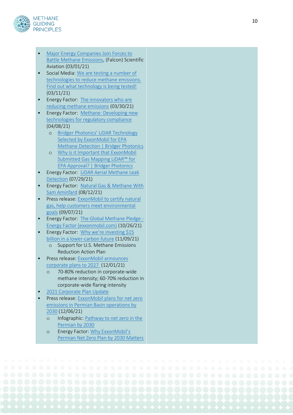

- [Major Energy Companies Join Forces to](http://www.scientificaviation.com/major-energy-companies-join-forces-to-battle-methane-emissions/?)  [Battle Methane Emissions,](http://www.scientificaviation.com/major-energy-companies-join-forces-to-battle-methane-emissions/?) (Falcon) Scientific Aviation (03/01/21)
- Social Media: We are testing a number of [technologies to reduce methane emissions.](https://www.linkedin.com/posts/xto-energy_technology-activity-6775846925611659264-7HL2)  [Find out what technology is being tested!](https://www.linkedin.com/posts/xto-energy_technology-activity-6775846925611659264-7HL2) (03/11/21)
- Energy Factor: [The innovators who are](https://energyfactor.exxonmobil.com/reducing-emissions/methane/reducing-methane-gas-leaks/)  [reducing methane emissions](https://energyfactor.exxonmobil.com/reducing-emissions/methane/reducing-methane-gas-leaks/) (03/30/21)
- Energy Factor: [Methane: Developing new](https://energyfactor.exxonmobil.com/insights/partners/developing-new-technologies/)  [technologies for regulatory compliance](https://energyfactor.exxonmobil.com/insights/partners/developing-new-technologies/) (04/08/21)
	- o [Bridger Photonics' LiDAR Technology](https://www.bridgerphotonics.com/blog/bridger-photonics-lidar-technology-selected-exxonmobil-epa-methane-detection)  [Selected by ExxonMobil for EPA](https://www.bridgerphotonics.com/blog/bridger-photonics-lidar-technology-selected-exxonmobil-epa-methane-detection)  [Methane Detection | Bridger Photonics](https://www.bridgerphotonics.com/blog/bridger-photonics-lidar-technology-selected-exxonmobil-epa-methane-detection)
	- o [Why is it Important that ExxonMobil](https://www.bridgerphotonics.com/blog/why-it-important-exxonmobil-submitted-gas-mapping-lidartm-epa-approval)  Submitted Gas Mapping LiDAR™ for [EPA Approval? | Bridger Photonics](https://www.bridgerphotonics.com/blog/why-it-important-exxonmobil-submitted-gas-mapping-lidartm-epa-approval)
- Energy Factor: [LiDAR Aerial Methane Leak](https://energyfactor.exxonmobil.com/reducing-emissions/methane/lidar-methane-leak-detection/)  [Detection](https://energyfactor.exxonmobil.com/reducing-emissions/methane/lidar-methane-leak-detection/) (07/29/21)
- Energy Factor: [Natural Gas & Methane With](https://energyfactor.exxonmobil.com/insights/voices/methane-emissions-sam-aminfard/)  [Sam Aminfard](https://energyfactor.exxonmobil.com/insights/voices/methane-emissions-sam-aminfard/) (08/12/21)
- Press release: ExxonMobil to certify natural [gas, help customers meet environmental](https://corporate.exxonmobil.com/News/Newsroom/News-releases/2021/0907_ExxonMobil-to-certify-natural-gas-help-customers-meet-environmental-goals)  [goals](https://corporate.exxonmobil.com/News/Newsroom/News-releases/2021/0907_ExxonMobil-to-certify-natural-gas-help-customers-meet-environmental-goals) (09/07/21)
- Energy Factor: [The Global Methane Pledge](https://energyfactor.exxonmobil.com/perspectives/the-global-methane-pledge/) -[Energy Factor \(exxonmobil.com\)](https://energyfactor.exxonmobil.com/perspectives/the-global-methane-pledge/) (10/26/21)
- Energy Factor: [Why we're investing \\$15](https://energyfactor.exxonmobil.com/insights/partners/investing-15-billion-lower-carbon-future/)  [billion in a lower](https://energyfactor.exxonmobil.com/insights/partners/investing-15-billion-lower-carbon-future/) -carbon future (11/09/21)
	- o Support for U.S. Methane Emissions Reduction Action Plan
- Press release[: ExxonMobil announces](https://corporate.exxonmobil.com/News/Newsroom/News-releases/2021/1201_ExxonMobil-announces-plans-to-2027-doubling-earnings-and-cash-flow-potential-reducing-emissions)  [corporate plans to 2027](https://corporate.exxonmobil.com/News/Newsroom/News-releases/2021/1201_ExxonMobil-announces-plans-to-2027-doubling-earnings-and-cash-flow-potential-reducing-emissions) (12/01/21)
	- o 70-80% reduction in corporate -wide methane intensity; 60 -70% reduction in corporate -wide flaring intensity
- [2021 Corporate Plan Update](https://corporate.exxonmobil.com/Investors/Investor-relations/Corporate-Plan-Update)
- Press release[: ExxonMobil plans for net zero](https://corporate.exxonmobil.com/News/Newsroom/News-releases/2021/1206_ExxonMobil-plans-for-net-zero-emissions-in-Permian-Basin-operations-by-2030)  [emissions in Permian Basin operations by](https://corporate.exxonmobil.com/News/Newsroom/News-releases/2021/1206_ExxonMobil-plans-for-net-zero-emissions-in-Permian-Basin-operations-by-2030)  [2030](https://corporate.exxonmobil.com/News/Newsroom/News-releases/2021/1206_ExxonMobil-plans-for-net-zero-emissions-in-Permian-Basin-operations-by-2030) (12/06/21)
	- o Infographic: Pathway to net zero in the [Permian by 2030](https://corporate.exxonmobil.com/-/media/Global/Files/advancing-climate-solutions/Pathway-to-net-zero-in-the-Permian-by-2030_infographic.pdf?la=en&hash=78F0A4DAACB99E6F5776B40281269C0EEA208EC6)
	- o Energy Factor: [Why ExxonMobil's](https://energyfactor.exxonmobil.com/perspectives/why-exxonmobils-permian-net-zero-plan-by-2030-matters/)  [Permian Net Zero Plan by 2030 Matters](https://energyfactor.exxonmobil.com/perspectives/why-exxonmobils-permian-net-zero-plan-by-2030-matters/)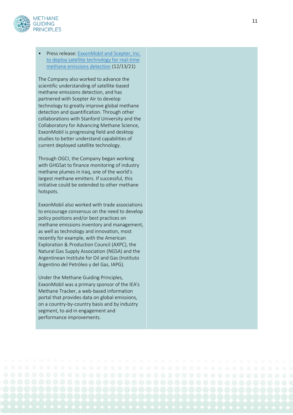

• Press release[: ExxonMobil and Scepter, Inc.](https://corporate.exxonmobil.com/News/Newsroom/News-releases/2021/1213_ExxonMobil-and-Scepter-to-deploy-satellite-technology-for-real-time-methane-emissions-detection)  [to deploy satellite technology for real](https://corporate.exxonmobil.com/News/Newsroom/News-releases/2021/1213_ExxonMobil-and-Scepter-to-deploy-satellite-technology-for-real-time-methane-emissions-detection)-time [methane emissions detection](https://corporate.exxonmobil.com/News/Newsroom/News-releases/2021/1213_ExxonMobil-and-Scepter-to-deploy-satellite-technology-for-real-time-methane-emissions-detection) (12/13/21)

The Company also worked to advance the scientific understanding of satellite -based methane emissions detection, and has partnered with Scepter Air to develop technology to greatly improve global methane detection and quantification. Through other collaborations with Stanford University and the Collaboratory for Advancing Methane Science, ExxonMobil is progressing field and desktop studies to better understand capabilities of current deployed satellite technology.

Through OGCI, the Company began working with GHGSat to finance monitoring of industry methane plumes in Iraq, one of the world's largest methane emitters. If successful, this initiative could be extended to other methane hotspots.

ExxonMobil also worked with trade associations to encourage consensus on the need to develop policy positions and/or best practices on methane emissions inventory and management, as well as technology and innovation, most recently for example, with the American Exploration & Production Council (AXPC), the Natural Gas Supply Association (NGSA) and the Argentinean Institute for Oil and Gas (Instituto Argentino del Petróleo y del Gas, IAPG).

Under the Methane Guiding Principles, ExxonMobil was a primary sponsor of the IEA's Methane Tracker, a web -based information portal that provides data on global emissions, on a country -by -country basis and by industry segment, to aid in engagement and performance improvements.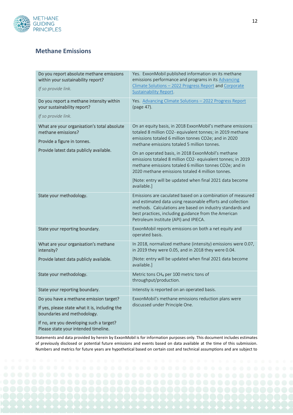

#### **Methane Emissions**

| Do you report absolute methane emissions<br>within your sustainability report?<br>If so provide link.                                       | Yes. ExxonMobil published information on its methane<br>emissions performance and programs in its Advancing<br>Climate Solutions - 2022 Progress Report and Corporate<br><b>Sustainability Report.</b>                                                                                                                                                                                                                                                                                                                                        |
|---------------------------------------------------------------------------------------------------------------------------------------------|-----------------------------------------------------------------------------------------------------------------------------------------------------------------------------------------------------------------------------------------------------------------------------------------------------------------------------------------------------------------------------------------------------------------------------------------------------------------------------------------------------------------------------------------------|
| Do you report a methane intensity within<br>your sustainability report?<br>If so provide link.                                              | Yes. Advancing Climate Solutions - 2022 Progress Report<br>(page 47).                                                                                                                                                                                                                                                                                                                                                                                                                                                                         |
| What are your organisation's total absolute<br>methane emissions?<br>Provide a figure in tonnes.<br>Provide latest data publicly available. | On an equity basis, in 2018 ExxonMobil's methane emissions<br>totaled 8 million CO2- equivalent tonnes; in 2019 methane<br>emissions totaled 6 million tonnes CO2e; and in 2020<br>methane emissions totaled 5 million tonnes.<br>On an operated basis, in 2018 ExxonMobil's methane<br>emissions totaled 8 million CO2- equivalent tonnes; in 2019<br>methane emissions totaled 6 million tonnes CO2e; and in<br>2020 methane emissions totaled 4 million tonnes.<br>[Note: entry will be updated when final 2021 data become<br>available.] |
| State your methodology.                                                                                                                     | Emissions are caculated based on a combination of measured<br>and estimated data using reasonable efforts and collection<br>methods. Calculations are based on industry standards and<br>best practices, including guidance from the American<br>Petroleum Institute (API) and IPIECA.                                                                                                                                                                                                                                                        |
| State your reporting boundary.                                                                                                              | ExxonMobil reports emissions on both a net equity and<br>operated basis.                                                                                                                                                                                                                                                                                                                                                                                                                                                                      |
| What are your organisation's methane<br>intensity?                                                                                          | In 2018, normalized methane (intensity) emissions were 0.07,<br>in 2019 they were 0.05, and in 2018 they were 0.04.                                                                                                                                                                                                                                                                                                                                                                                                                           |
| Provide latest data publicly available.                                                                                                     | [Note: entry will be updated when final 2021 data become<br>available.]                                                                                                                                                                                                                                                                                                                                                                                                                                                                       |
| State your methodology.                                                                                                                     | Metric tons CH <sub>4</sub> per 100 metric tons of<br>throughput/production.                                                                                                                                                                                                                                                                                                                                                                                                                                                                  |
| State your reporting boundary.                                                                                                              | Intenstiy is reported on an operated basis.                                                                                                                                                                                                                                                                                                                                                                                                                                                                                                   |
| Do you have a methane emission target?                                                                                                      | ExxonMobil's methane emissions reduction plans were                                                                                                                                                                                                                                                                                                                                                                                                                                                                                           |
| If yes, please state what it is, including the<br>boundaries and methodology.                                                               | discussed under Principle One.                                                                                                                                                                                                                                                                                                                                                                                                                                                                                                                |
| If no, are you developing such a target?<br>Please state your intended timeline.                                                            |                                                                                                                                                                                                                                                                                                                                                                                                                                                                                                                                               |

Statements and data provided by herein by ExxonMobil is for information purposes only. This document includes estimates of previously disclosed or potential future emissions and events based on data available at the time of this submission. Numbers and metrics for future years are hypothetical based on certain cost and technical assumptions and are subject to